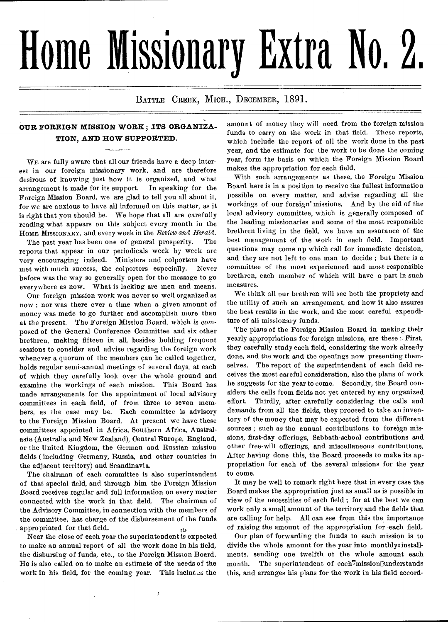## **Home Missionary Extra No. 2.**

BATTLE CREEK, MICH., DECEMBER, 1891.

## **OUR FOREIGN MISSION WORK; ITS ORGANIZA-TION, AND HOW SUPPORTED.**

WE are fully aware that all our friends have a deep interest in our foreign missionary work, and are therefore desirous of knowing just how it is organized, and what arrangement is made for its support. In speaking for the Foreign Mission Board, we are glad to tell you all about it, for we are anxious to have all informed on this matter, as it is right that you should be. We hope that all are carefully reading what appears on this subject every month in the HOME MISSIONARY, and every week in the *Review and Herald.* 

The past year has been one of general prosperity. The reports that appear in our periodicals week by week are very encouraging indeed. Ministers and colporters have met with much success, the colporters especially. Never before was the way so generally open for the message to go everywhere as now. What is lacking are men and means.

Our foreign mission work was never so well organized as now ; nor was there ever a time when a given amount of money was made to go further and accomplish more than at the present. The Foreign Mission Board, which is composed of the General Conference Committee and six other brethren, making fifteen in all, besides holding frequent sessions to consider and advise regarding the foreign work whenever a quorum of the members can be called together, holds regular semi-annual meetings of several days, at each of which they carefully look over the whole ground and examine the workings of each mission. This Board has made arrangements for the appointment of local advisory committees in each field, of from three to seven members, as the case may be. Each committee is advisory to the Foreign Mission Board. At present we have these committees appointed in Africa, Southern Africa, Australasia (Australia and New Zealand), Central Europe, England, or the United Kingdom, the German and Russian mission fields ( including Germany, Russia, and other countries in the adjacent territory) and Scandinavia.

The chairman of each committee is also superintendent of that special field, and through him the Foreign Mission Board receives regular and full information on every matter connected with the work in that field. The chairman of the Advisory Committee, in connection with the members of the committee, has charge of the disbursement of the funds appropriated for that field.  $t_{\text{th}}$ 

Near the close of each year the superintendent is expected to make an annual report of all the work done in his field, the disbursing of funds, etc., to the Foreign Mission Board. He is also called on to make an estimate of the needs of the work in his field, for the coming year. This includes the

ý

amount of money they will need from the foreign mission funds to carry on the work in that field. These reports, which include the report of all the work done in the past year, and the estimate for the work to be done the coming year, form the basis on which the Foreign Mission Board makes the appropriation for each field.

With such arrangements as these, the Foreign Mission Board here is in a position to receive the fullest information possible on every matter, and advise regarding all the workings of our foreign° missions. And by the aid of the local advisory committee, which is generally composed of the leading missionaries and some of the most responsible brethren living in the field, we have an assurance of the best management of the work in each field. Important questions may come up which call for immediate decision, and they are not left to one man to decide ; but there is a committee of the most experienced and most responsible brethren, each member of which will have a part in such measures.

We think all our brethren will see both the propriety and the utility of such an arrangement, and how it also assures the best results in the work, and the most careful expenditure of all missionary funds.

The plans of the Foreign Mission Board in making their yearly appropriations for foreign missions, are these :• First, they carefully study each field, considering the work already done, and the work and the openings now presenting themselves. The report of the superintendent of each field receives the most careful consideration, also the plans of work he suggests for the year to come. Secondly, the Board considers the calls from fields not yet entered by any organized effort. Thirdly, after carefully considering the calls and demands from all the fields, they proceed to take an inventory of the money that may be expected from the different sources ; such as the annual contributions to foreign missions, first-day offerings, Sabbath-school contributions and other free-will offerings, and miscellaneous contributions. After having done this, the Board proceeds to make its appropriation for each of the several missions for the year to come.

It may be well to remark right here that in every case the Board makes the appropriation just as small as is possible in view of the necessities of each field ; for at the best we can work only a small amount of the territory and the fields that are calling for help. All can see from this the importance of raising the amount of the appropriation for each field.

Our plan of forwarding the funds to each mission is to divide the whole amount for the year into monthlyoinstallments, sending one twelfth or the whole amount each month. The superintendent of each7missionDunderstands this, and arranges his plans for the work in his field accord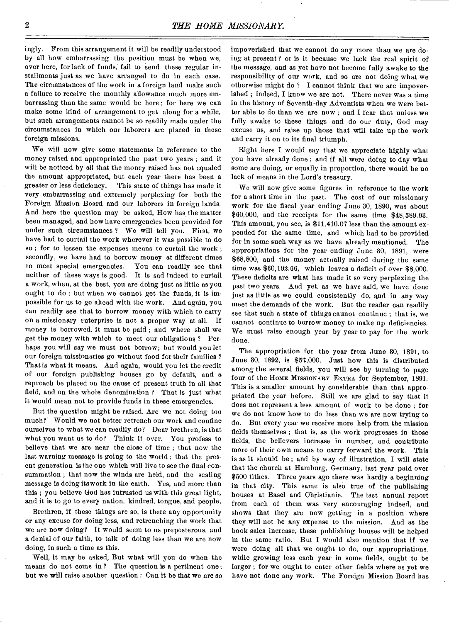ingly. From this arrangement it will be readily understood by all how embarrassing the position must be when we, over here, for lack of funds, fail to send these regular installments just as we have arranged to do in each case. The circumstances of the work in a foreign land make such a failure to receive the monthly allowance much more embarrassing than the same would be here ; for here we can make some kind of arrangement to get along for a while, but such arrangements cannot be so readily made under the circumstances in which our laborers are placed in these foreign missions.

We will now give some statements in reference to the money raised and appropriated the past two years ; and it will be noticed by all that the money raised has not equaled the amount appropriated, but each year there has been a greater or less deficiency. This state of things has made it very embarrassing and extremely perplexing for both the Foreign Mission Board and our laborers in foreign lands. And here the question may be asked, How has the matter been managed, and bow have emergencies been provided for under such circumstances ? We will tell you. First, we have had to curtail the work wherever it was possible to do so ; for to lessen the expenses means to curtail the work ; secondly, we have had to borrow money at different times to meet special emergencies. You can readily see that neither of these ways is good. It is sad indeed to curtail a work, when, at the best, you are doing just as little as you ought to do ; but when we cannot get the funds, it is impossible for us to go ahead with the work. And again, you can readily see that to borrow money with which to carry on a missionary enterprise is not a proper way at all. If money is borrowed, it must be paid ; and where shall we get the money with which to meet our obligations ? Perhaps you will say we must not borrow; but would you let our foreign missionaries go without food for their families ? That is what it means. And again, would you let the credit of our foreign publishing houses go by default, and a reproach be placed on the cause of present truth in all that field, and on the whole denomination ? That is just what it would mean not to provide funds in these emergencies.

But the question might be raised, Are we not doing too much? Would we not better retrench our work and confine ourselves to what we can readily do? Dear brethren, is that what you want us to do? Think it over. You profess to believe that we are near the close of time ; that now the last warning message is going to the world ; that the present generation is the one which will live to see the final consummation ; that now the winds are held, and the sealing message is doing its work in the earth. Yes, and more than this ; you believe God has intrusted us with this great light, and it is to go to every nation, kindred, tongue, and people.

Brethren, if these things are so, is there any opportunity or any excuse for doing less, and retrenching the work that we are now doing? It would seem to us preposterous, and a denial of our faith, to talk of doing less than we are now doing, in such a time as this.

Well, it may be asked, But what will you do when the means do not come in ? The question is a pertinent one ; but we will raise another question : Can it be that we are so impoverished that we cannot do any more than we are doing at present ? or is it because we lack the real spirit of the message, and as yet have not become fully awake to the responsibility of our work, and so are not doing what we otherwise might do ? I cannot think that we are impoverished ; indeed, I know we are not. There never was a time in the history of Seventh-day Adventists when we were better able to do than we are now ; and I fear that unless we fully awake to these things and do our duty, God may excuse us, and raise up those that will take up the work and carry it on to its final triumph.

Right here I would say that we appreciate highly what you have already done ; and if all were doing to day what some are doing, or equally in proportion, there would be no lack of means in the Lord's treasury.

We will now give some figures in reference to the work for a short time in the past. The cost of our missionary work for the fiscal year ending June 30, 1890, was about \$60,000, and the receipts for the same time \$48,589.93. This amount, you see, is \$11,410.07 less than the amount expended for the same time, and which had to be provided for in some such way as we have already mentioned. The appropriations for the year ending June 30, 1891, were \$68,800, and the money actually raised during the same time was \$60,192.66, which leaves a deficit of over \$8,000. These deficits are what has made it so very perplexing the past two years. And yet, as we have said, we have done just as little as we could consistently do, and in any way meet the demands of the work. But the reader can readily see that such a state of things cannot continue ; that is, we cannot continue to borrow money to make up deficiencies. We must raise enough year by year to pay for the work done,

The appropriation for the year from June 30, 1891, to June 30, 1892, is \$57,000. Just how this is distributed among the several fields, you will see by turning to page four of the HOME MISSIONARY EXTRA for September, 1891. This is a smaller amount by considerable than that appropriated the year before. Still we are glad to say that it does not represent a less amount of work to be done ; for we do not know how to do less than we are now trying to do. But every year we receive more help from the mission fields themselves ; that is, as the work progresses in those fields, the believers increase in number, and contribute more of their own means to carry forward the work. This is as it should be ; and by way of illustration, I will state that the church at Hamburg, Germany, last year paid over \$500 tithes. Three years ago there was hardly a beginning in that city. This same is also true of the publishing houses at Basel and Christiania. The last annual report from each of them was very encouraging indeed, and shows that they are now getting in a position where they will not be any expense to the mission. And as the book sales increase, these publishing houses will be helped in the same ratio. But I would also mention that if we were doing all that we ought to do, our appropriations, while growing less each year in some fields, ought to be larger ; for we ought to enter other fields where as yet we have not done any work. The Foreign Mission Board has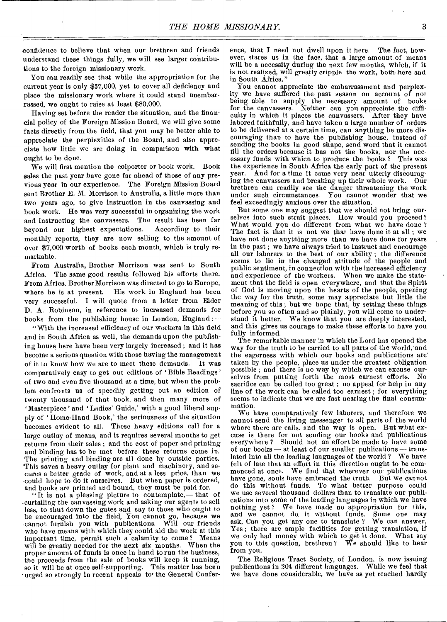confidence to believe that when our brethren and friends understand these things fully, we will see larger contributions to the foreign missionary work.

You can readily see that while the appropriation for the current year is only \$57,000, yet to cover all deficiency and place the missionary work where it could stand unembarrassed, we ought to raise at least \$80,000.

Having set before the reader the situation, and the financial policy of the Foreign Mission Board, we will give some facts directly from the field, that you may be better able to appreciate the perplexities of the Board, and also appreciate how little we are doing in comparison with what ought to be done.

We will first mention the colporter or book work. Book sales the past year have gone far ahead of those of any previous year in our experience. The Foreign Mission Board sent Brother E. M. Morrison to Australia, a little more than two years ago, to give instruction in the canvassing and book work. He was very successful in organizing the work and instructing the canvassers. The result has been far beyond our highest expectations. According to their monthly reports, they are now selling to the amount of over \$7,000 worth of books each month, which is truly remarkable.

From Australia, Brother Morrison was sent to South Africa. The same good results followed his efforts there. From Africa, Brother Morrison was directed to go to Europe, where he is at present. His work in England has been very successful. I will quote from a letter from Elder D. A. Robinson, in reference to increased demands for books from the publishing house in London, England :—

"With the increased efficiency of our workers in this field and in South Africa as well, the demands upon the publishing house here have been very largely increased ; and it has become a serious question with those having the management of it to know how we are to meet these demands. It was comparatively easy to get out editions of 'Bible Readings' of two and even five thousand at a time, but when the problem confronts us of speedily getting out au edition of twenty thousand of that book, and then many more of 'Masterpiece' and 'Ladies' Guide,' with a good liberal supply of 'Home-Hand Book,' the seriousness of the situation becomes evident to all. These heavy editions call for a large outlay of means, and it requires several months to get returns from their sales ; and the cost of paper and printing and binding has to be met before these returns come in. The printing and binding are all done by outside parties. This saves a heavy outlay for plant and machinery, and secures a better grade of work, and at a less price, than we could hope to do it ourselves. But when paper is ordered, and books are printed and bound, they must be paid for.

" It is not a pleasing picture to contemplate,— that of -curtailing the canvassing work and asking our agents to sell less, to shut down the gates and say to those who ought to be encouraged into the field, You cannot go, because we cannot furnish you with publications. Will our friends who have means with which they could aid the work at this important time, permit such a calamity to come ? Means will be greatly needed for the next six months. When the proper amount of funds is once in hand to run the business, the proceeds from the sale of books will keep it running, so it will be at once self-supporting. This matter has been urged so strongly in recent appeals to' the General Conference, that I need not dwell upon it here. The fact, however, stares us in the face, that a large amount of means will be a necessity during the next few months, which, if it is not realized, will greatly cripple the work, both here and in South Africa."

You cannot appreciate the embarrassment and perplexity we have suffered the past season on account of not being able to supply the necessary amount of books for the canvassers. Neither can you appreciate the difficulty in which it places the canvassers. After they have labored faithfully, and have taken a large number of orders to be delivered at a certain time, can anything be more discouraging than to have the publishing house, instead of sending the books in good shape, send word that it cannot fill the orders because it has not the books, nor the necessary funds with which to produce the books ? This was the experience in South Africa the early part of the present year. And for a time it came very near utterly discouraging the canvassers and breaking up their whole work. Our brethren can readily *see* the danger threatening the work under such circumstances. You cannot wonder that we feel exceedingly anxious over the situation.

But some one may suggest that we should not bring ourselves into such strait places. How would you proceed ? What would you do different from what we have done ? The fact is that it is not we that have done it at all ; we have not done anything more than we have done for years in the past ; we have always tried to instruct and encourage all our laborers to the best of our ability ; the difference seems to lie in the changed attitude of the people and public sentiment, in connection with the increased efficiency and experience of the workers. When we make the statement that the field is open everywhere, and that the Spirit of God is moving upon the hearts of the people, opening the way for the truth, some may appreciate but little the meaning of this ; but we hope that, by setting these things before you so often and so plainly, you will come to under-stand it better. We know that you are deeply interested, and this gives us courage to make these efforts to have you fully informed.

The remarkable manner in which the Lord has opened the way for the truth to be carried to all parts of the world, and the eagerness with which our books and publications are' taken by the people, place us under the greatest obligation possible ; and there is no way by which we can excuse ourselves from putting forth the most earnest efforts. No sacrifice can be called too great ; no appeal for help in any line of the work can be called too earnest ; for everything seems to indicate that we are fast nearing the final consummation.

We have comparatively few laborers, and therefore we cannot send the living messenger to all parts of the world where there are calls, and the way is open. But what excuse is there for not sending our books and publications everywhere ? Should not an effort be made to have some of our books — at least of our smaller publications — translated into all the leading languages of the world ? We have felt of late that an effort in this direction ought to be commenced at once. We find that wherever our publications have gone, souls have embraced the truth. But we cannot do this without funds. To what better purpose could we use several thousand dollars than to translate our publications into some of the leading languages in which we have nothing yet ? We have made no appropriation for this, and we cannot do it without funds. Some one may ask, Can you get 'any one to translate ? We can answer, Yes ; there are ample facilities for getting translation, if we only had money with which to get it done. What say you to this question, brethren ? We should like to hear from you.

The Religious Tract Society, of London, is now issuing publications in 204 different languages. While we feel that we have done considerable, we have as yet reached hardly